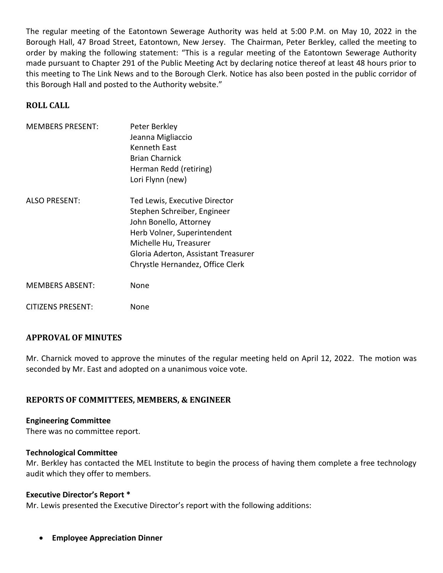The regular meeting of the Eatontown Sewerage Authority was held at 5:00 P.M. on May 10, 2022 in the Borough Hall, 47 Broad Street, Eatontown, New Jersey. The Chairman, Peter Berkley, called the meeting to order by making the following statement: "This is a regular meeting of the Eatontown Sewerage Authority made pursuant to Chapter 291 of the Public Meeting Act by declaring notice thereof at least 48 hours prior to this meeting to The Link News and to the Borough Clerk. Notice has also been posted in the public corridor of this Borough Hall and posted to the Authority website."

# **ROLL CALL**

| <b>MEMBERS PRESENT:</b> | Peter Berkley                                                                                                         |
|-------------------------|-----------------------------------------------------------------------------------------------------------------------|
|                         | Jeanna Migliaccio                                                                                                     |
|                         | <b>Kenneth East</b>                                                                                                   |
|                         | <b>Brian Charnick</b>                                                                                                 |
|                         | Herman Redd (retiring)                                                                                                |
|                         | Lori Flynn (new)                                                                                                      |
| ALSO PRESENT:           | Ted Lewis, Executive Director<br>Stephen Schreiber, Engineer<br>John Bonello, Attorney<br>Herb Volner, Superintendent |
|                         | Michelle Hu, Treasurer                                                                                                |
|                         | Gloria Aderton, Assistant Treasurer                                                                                   |
|                         | Chrystle Hernandez, Office Clerk                                                                                      |
| <b>MEMBERS ABSENT:</b>  | None                                                                                                                  |

# **APPROVAL OF MINUTES**

CITIZENS PRESENT: None

Mr. Charnick moved to approve the minutes of the regular meeting held on April 12, 2022. The motion was seconded by Mr. East and adopted on a unanimous voice vote.

# **REPORTS OF COMMITTEES, MEMBERS, & ENGINEER**

#### **Engineering Committee**

There was no committee report.

#### **Technological Committee**

Mr. Berkley has contacted the MEL Institute to begin the process of having them complete a free technology audit which they offer to members.

#### **Executive Director's Report \***

Mr. Lewis presented the Executive Director's report with the following additions:

• **Employee Appreciation Dinner**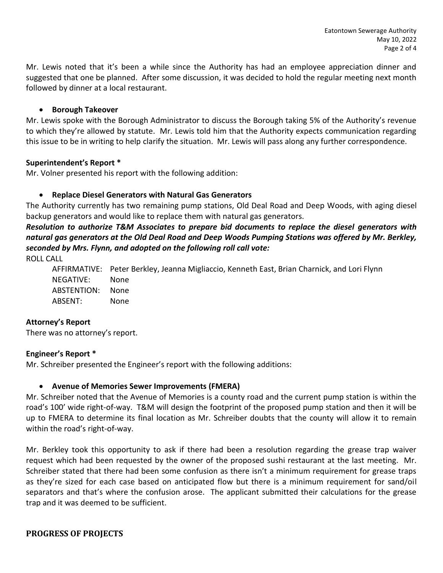Mr. Lewis noted that it's been a while since the Authority has had an employee appreciation dinner and suggested that one be planned. After some discussion, it was decided to hold the regular meeting next month followed by dinner at a local restaurant.

## • **Borough Takeover**

Mr. Lewis spoke with the Borough Administrator to discuss the Borough taking 5% of the Authority's revenue to which they're allowed by statute. Mr. Lewis told him that the Authority expects communication regarding this issue to be in writing to help clarify the situation. Mr. Lewis will pass along any further correspondence.

### **Superintendent's Report \***

Mr. Volner presented his report with the following addition:

# • **Replace Diesel Generators with Natural Gas Generators**

The Authority currently has two remaining pump stations, Old Deal Road and Deep Woods, with aging diesel backup generators and would like to replace them with natural gas generators.

*Resolution to authorize T&M Associates to prepare bid documents to replace the diesel generators with natural gas generators at the Old Deal Road and Deep Woods Pumping Stations was offered by Mr. Berkley, seconded by Mrs. Flynn, and adopted on the following roll call vote:* 

ROLL CALL

AFFIRMATIVE: Peter Berkley, Jeanna Migliaccio, Kenneth East, Brian Charnick, and Lori Flynn NEGATIVE: None ABSTENTION: None ABSENT: None

### **Attorney's Report**

There was no attorney's report.

# **Engineer's Report \***

Mr. Schreiber presented the Engineer's report with the following additions:

# • **Avenue of Memories Sewer Improvements (FMERA)**

Mr. Schreiber noted that the Avenue of Memories is a county road and the current pump station is within the road's 100' wide right-of-way. T&M will design the footprint of the proposed pump station and then it will be up to FMERA to determine its final location as Mr. Schreiber doubts that the county will allow it to remain within the road's right-of-way.

Mr. Berkley took this opportunity to ask if there had been a resolution regarding the grease trap waiver request which had been requested by the owner of the proposed sushi restaurant at the last meeting. Mr. Schreiber stated that there had been some confusion as there isn't a minimum requirement for grease traps as they're sized for each case based on anticipated flow but there is a minimum requirement for sand/oil separators and that's where the confusion arose. The applicant submitted their calculations for the grease trap and it was deemed to be sufficient.

# **PROGRESS OF PROJECTS**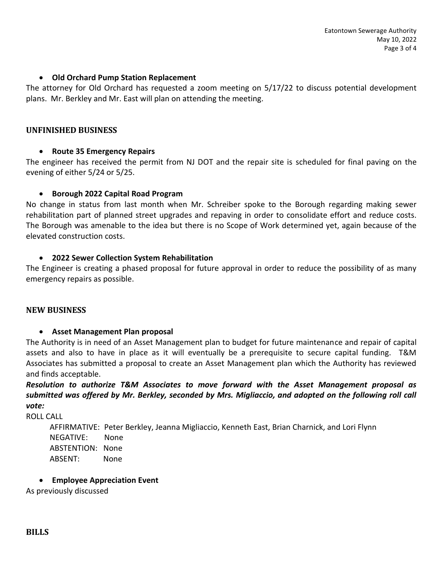## • **Old Orchard Pump Station Replacement**

The attorney for Old Orchard has requested a zoom meeting on 5/17/22 to discuss potential development plans. Mr. Berkley and Mr. East will plan on attending the meeting.

#### **UNFINISHED BUSINESS**

### • **Route 35 Emergency Repairs**

The engineer has received the permit from NJ DOT and the repair site is scheduled for final paving on the evening of either 5/24 or 5/25.

#### • **Borough 2022 Capital Road Program**

No change in status from last month when Mr. Schreiber spoke to the Borough regarding making sewer rehabilitation part of planned street upgrades and repaving in order to consolidate effort and reduce costs. The Borough was amenable to the idea but there is no Scope of Work determined yet, again because of the elevated construction costs.

#### • **2022 Sewer Collection System Rehabilitation**

The Engineer is creating a phased proposal for future approval in order to reduce the possibility of as many emergency repairs as possible.

#### **NEW BUSINESS**

### • **Asset Management Plan proposal**

The Authority is in need of an Asset Management plan to budget for future maintenance and repair of capital assets and also to have in place as it will eventually be a prerequisite to secure capital funding. T&M Associates has submitted a proposal to create an Asset Management plan which the Authority has reviewed and finds acceptable.

*Resolution to authorize T&M Associates to move forward with the Asset Management proposal as submitted was offered by Mr. Berkley, seconded by Mrs. Migliaccio, and adopted on the following roll call vote:* 

ROLL CALL

 AFFIRMATIVE: Peter Berkley, Jeanna Migliaccio, Kenneth East, Brian Charnick, and Lori Flynn NEGATIVE: None ABSTENTION: None ABSENT: None

#### • **Employee Appreciation Event**

As previously discussed